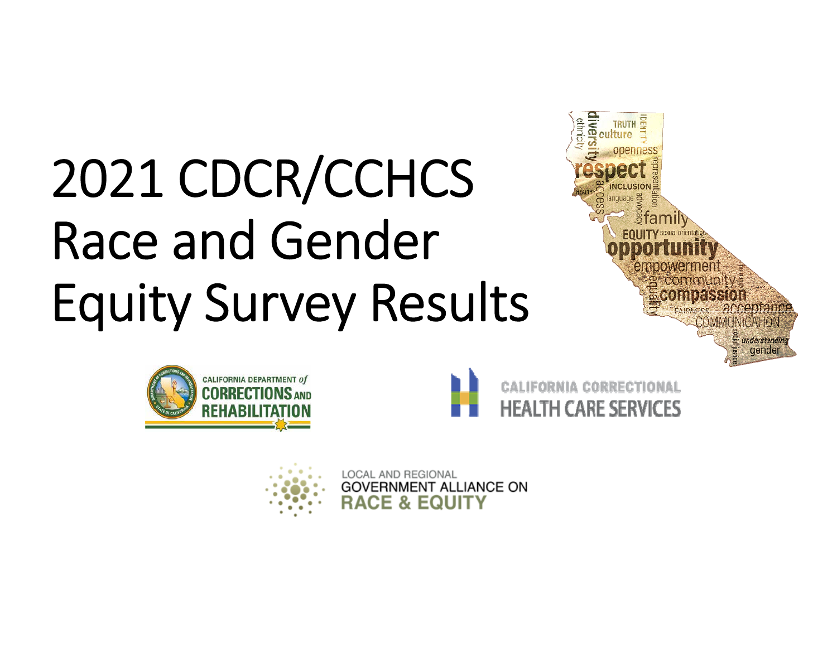# 2021 CDCR/CCHCS Race and Gender Equity Survey Results









LOCAL AND REGIONAL **GOVERNMENT ALLIANCE ON RACE & EQUITY**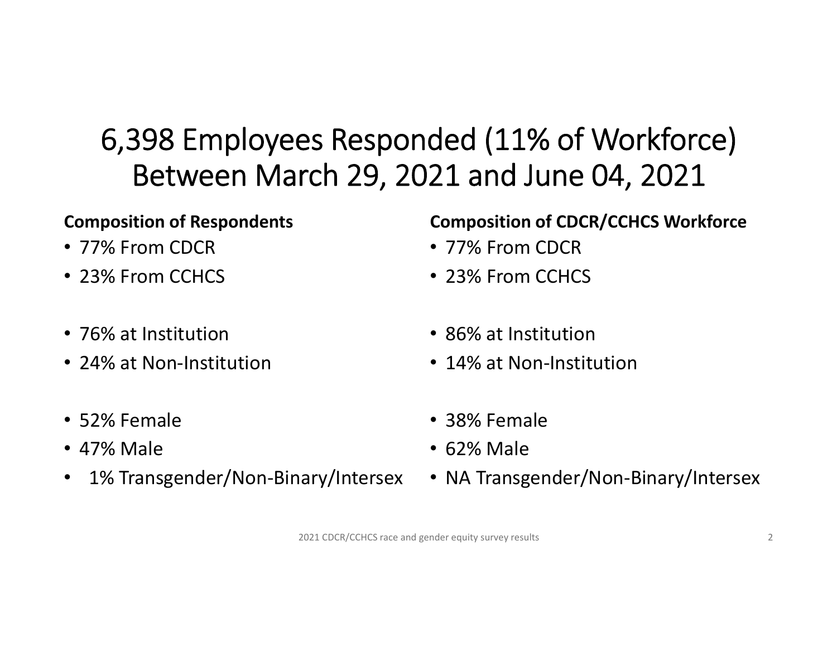#### 6,398 Employees Responded (11% of Workforce) Between March 29, 2021 and June 04, 2021

- 77% From CDCR 77% From CDCR
- 23% From CCHCS 23% From CCHCS
- 
- 24% at Non-Institution 14% at Non-Institution
- 52% Female 38% Female
- 47% Male 62% Male
- 1% Transgender/Non-Binary/Intersex NA Transgender/Non-Binary/Intersex

#### **Composition of Respondents Composition of CDCR/CCHCS Workforce**

- 
- 
- 76% at Institution 86% at Institution
	-
	-
	-
	-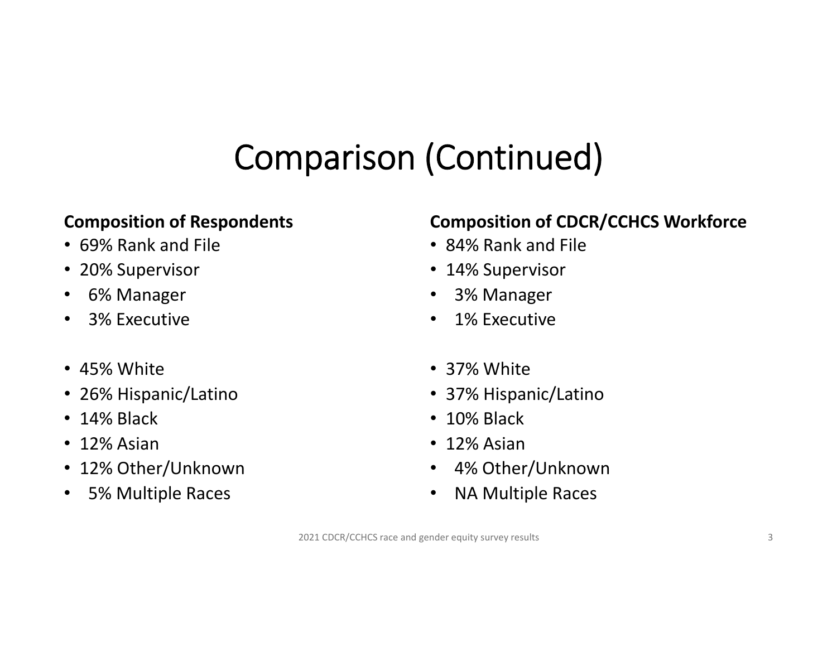## Comparison (Continued)

- 69% Rank and File 84% Rank and File
- 20% Supervisor 14% Supervisor
- 
- 
- 45% White 37% White
- 26% Hispanic/Latino 37% Hispanic/Latino
- 14% Black 10% Black
- 12% Asian 12% Asian
- 12% Other/Unknown 4% Other/Unknown
- 5% Multiple Races NA Multiple Races

#### **Composition of Respondents Composition of CDCR/CCHCS Workforce**

- 
- 
- 6% Manager 3% Manager
- 3% Executive 1% Executive
	-
	-
	-
	-
	-
	-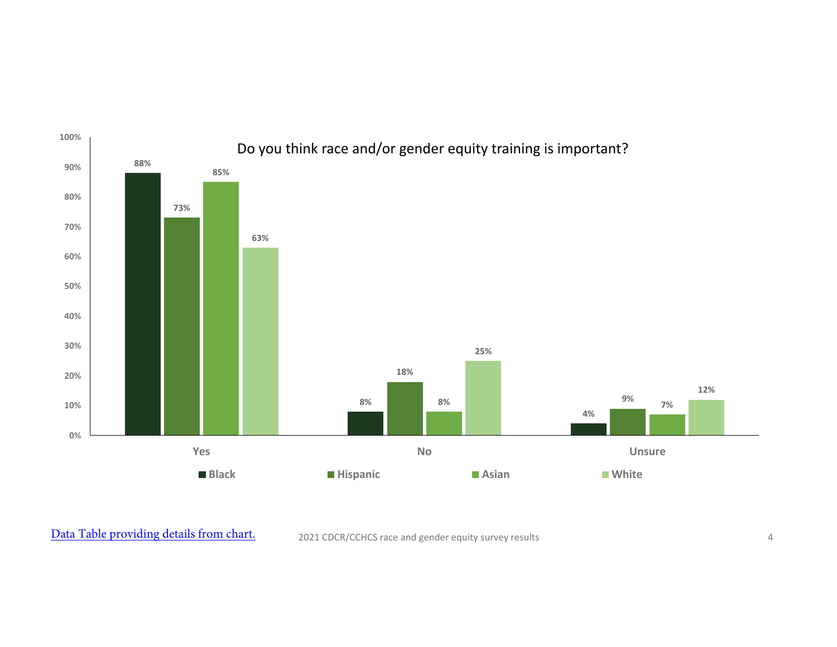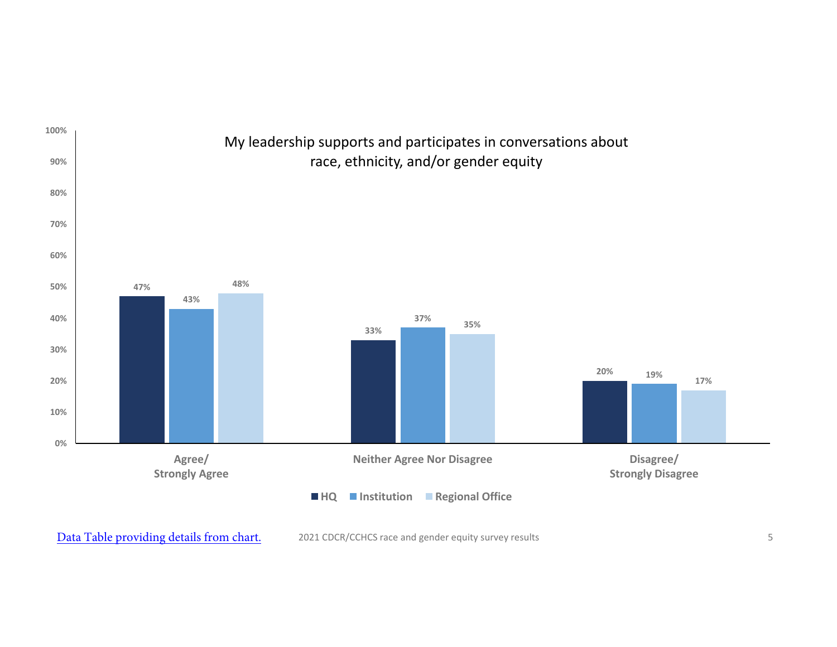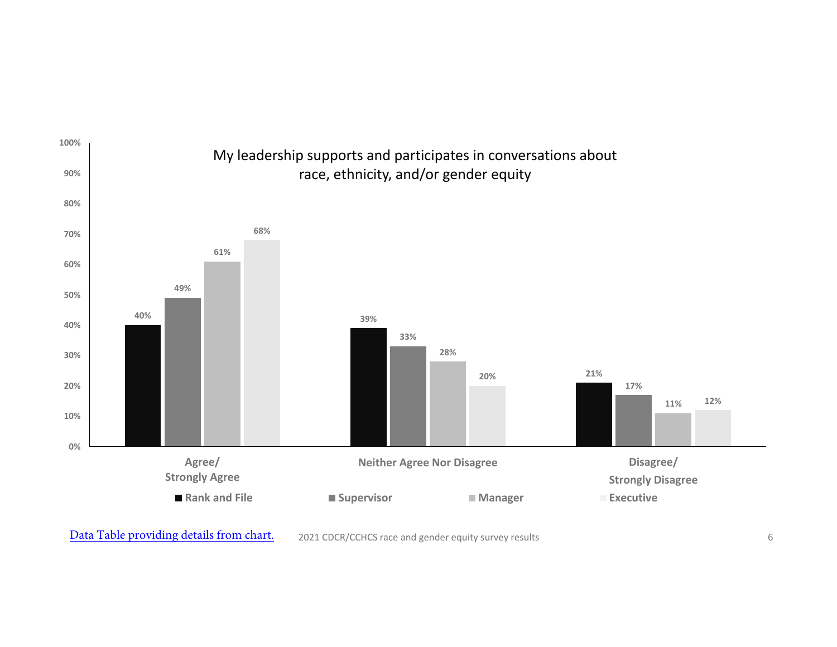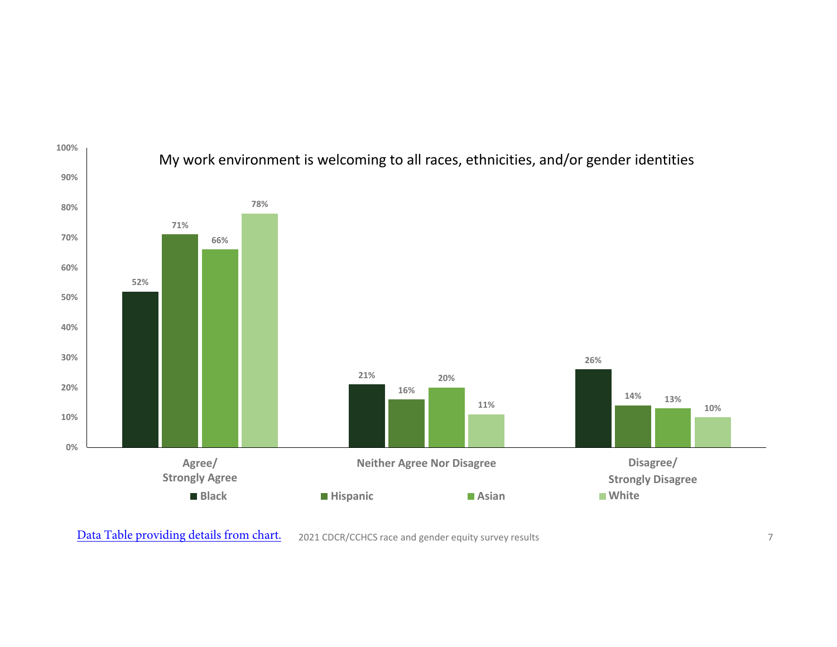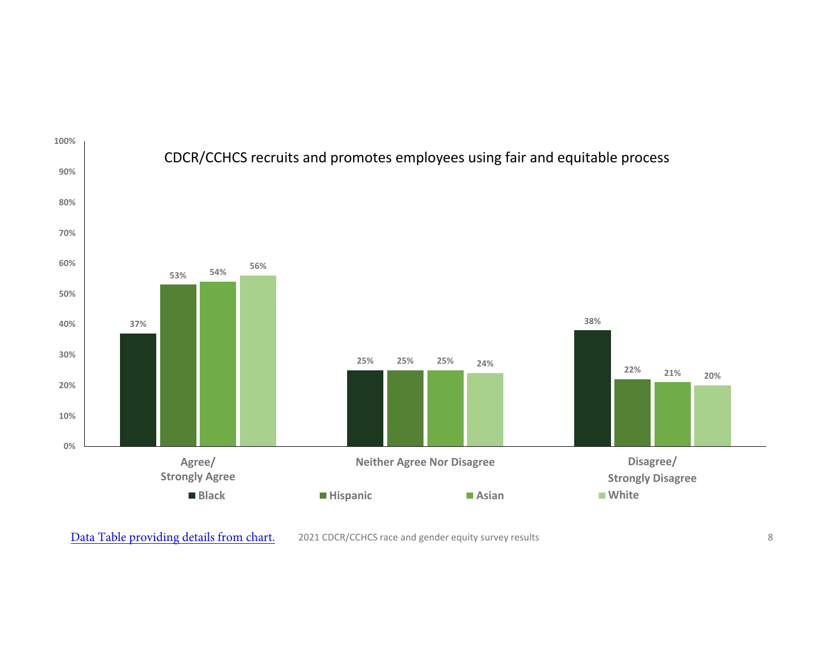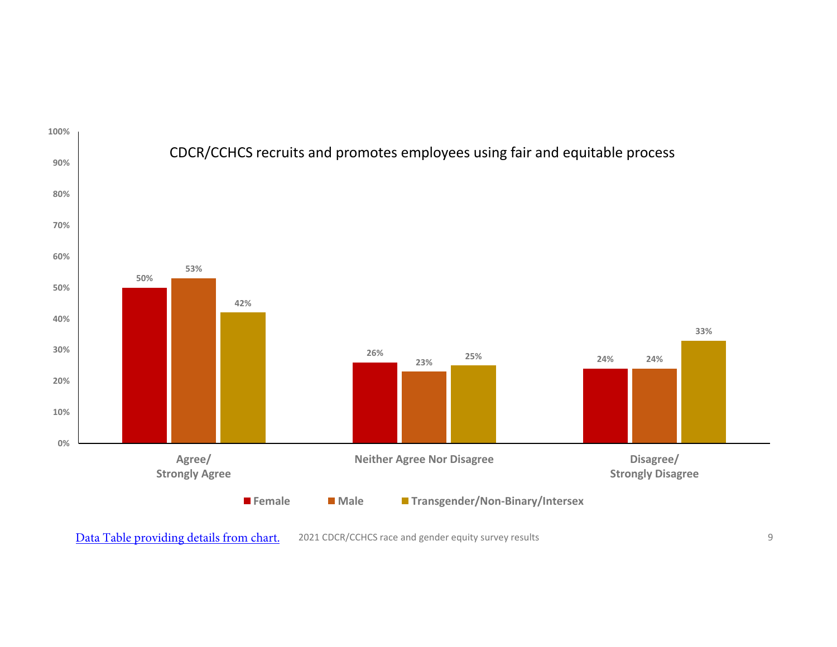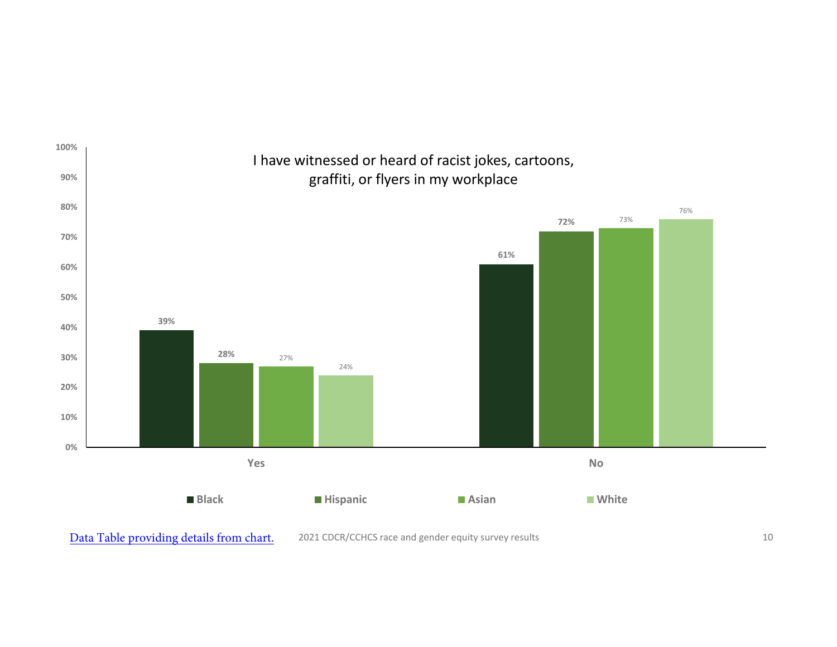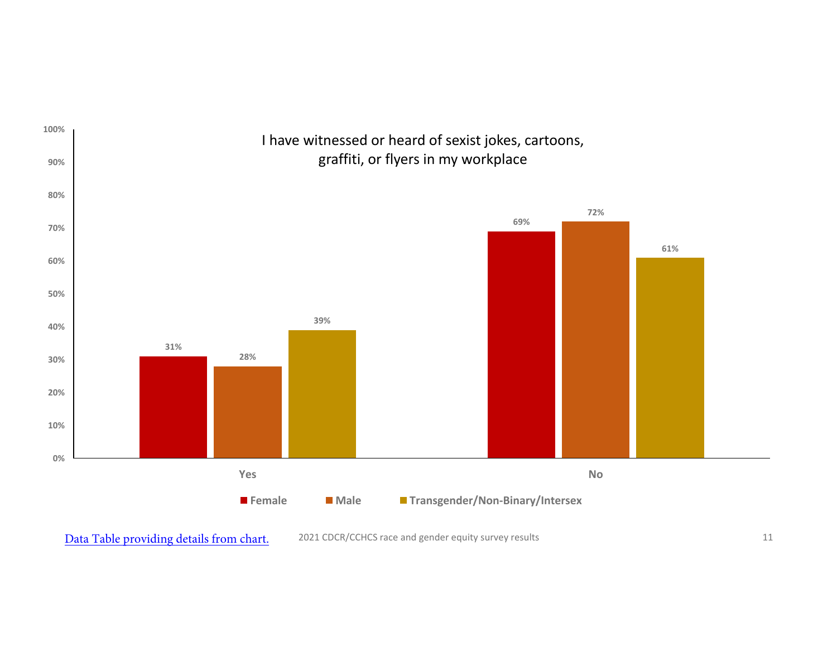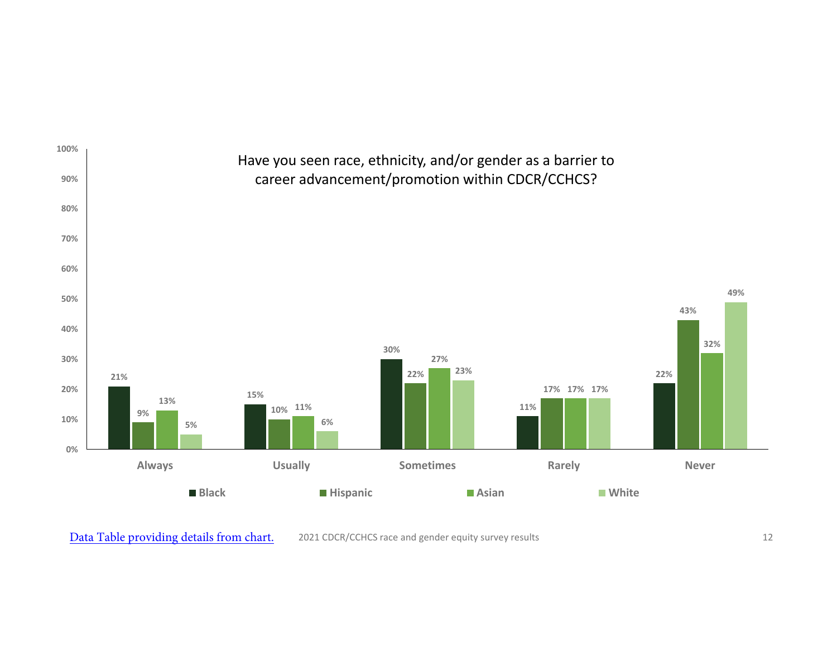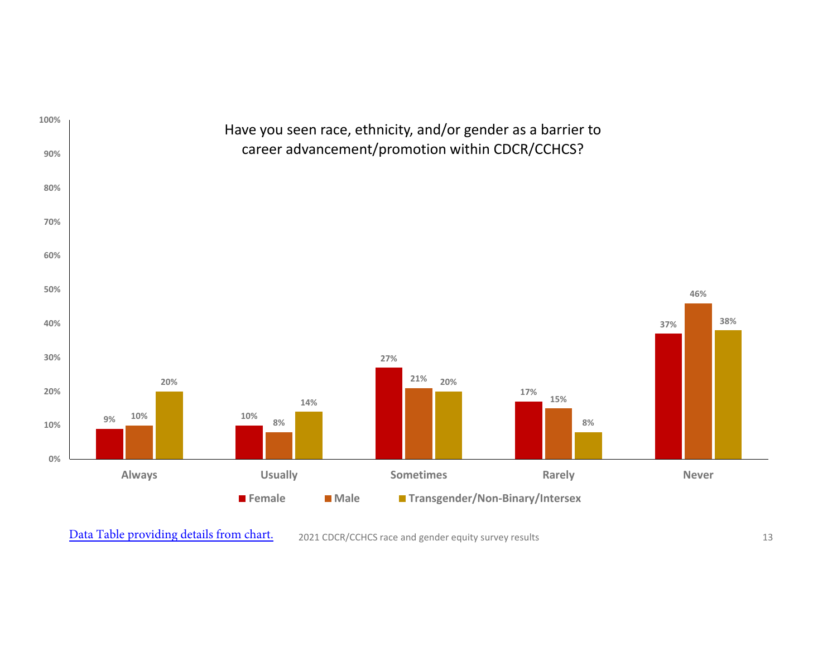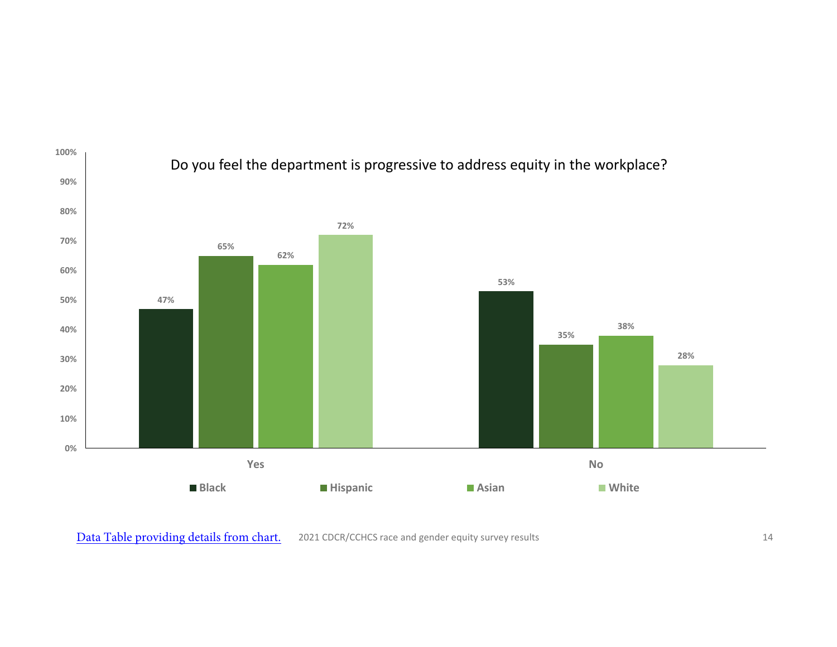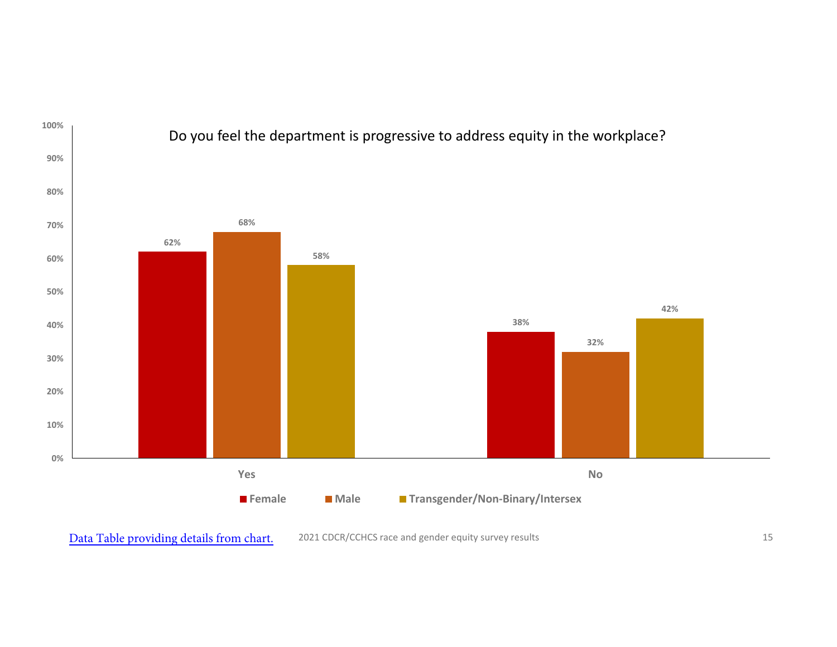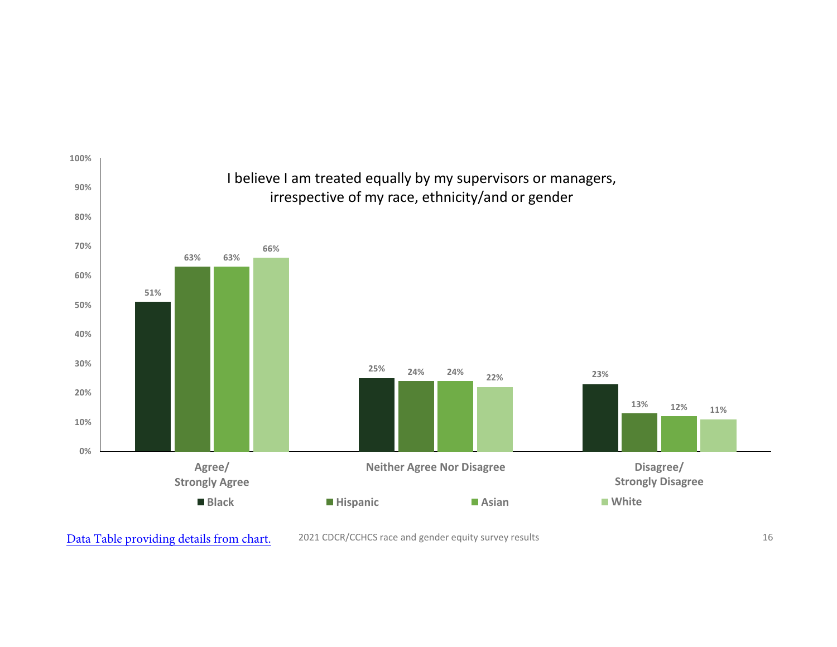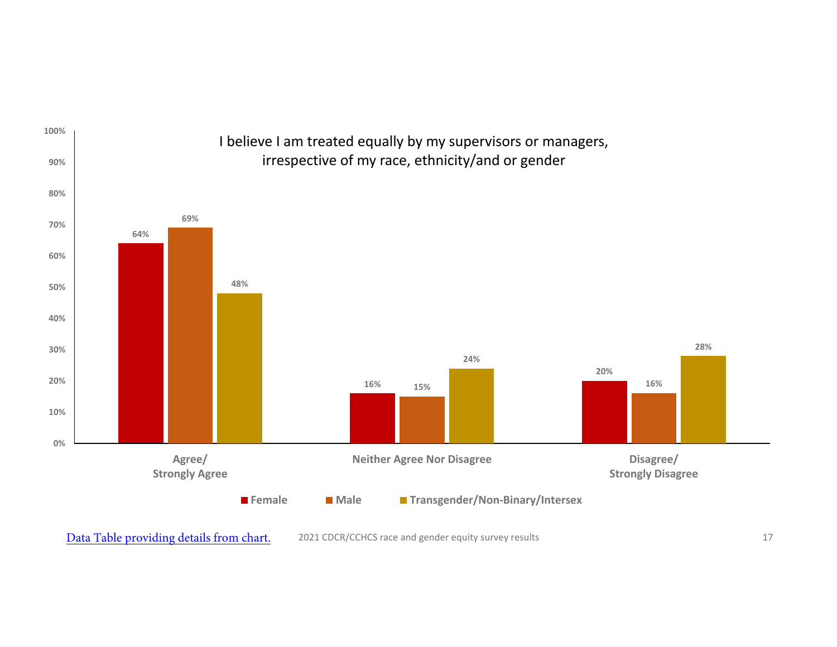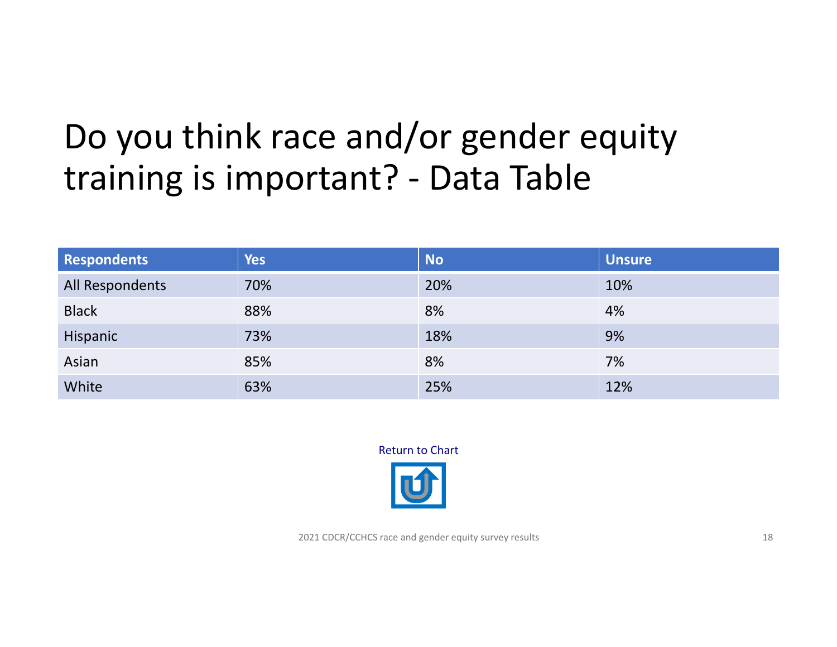## <span id="page-17-0"></span>Do you think race and/or gender equity training is important? ‐ Data Table

| Respondents            | <b>Yes</b> | <b>No</b> | <b>Unsure</b> |
|------------------------|------------|-----------|---------------|
| <b>All Respondents</b> | 70%        | 20%       | 10%           |
| <b>Black</b>           | 88%        | 8%        | 4%            |
| Hispanic               | 73%        | 18%       | 9%            |
| Asian                  | 85%        | 8%        | 7%            |
| White                  | 63%        | 25%       | 12%           |

Return to Chart

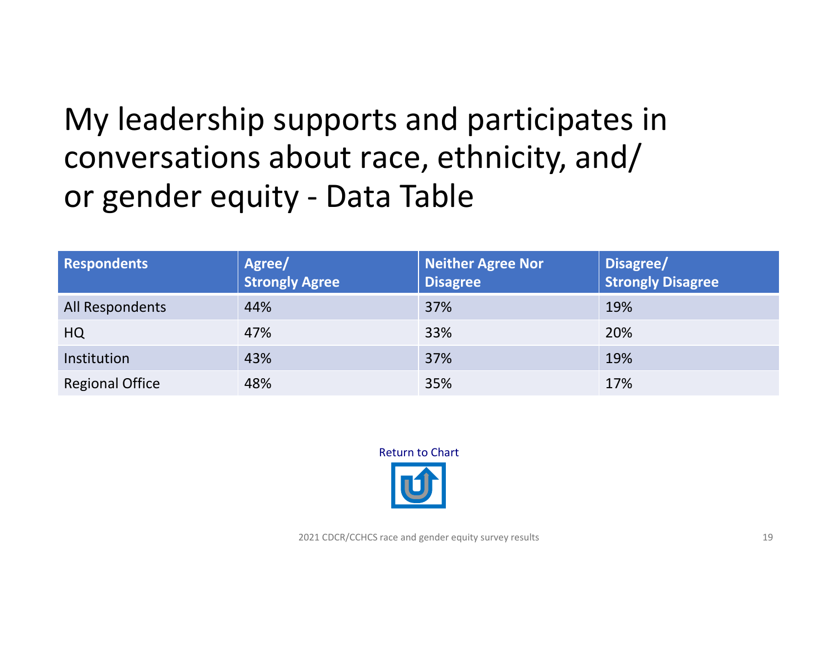#### <span id="page-18-0"></span>My leadership supports and participates in conversations about race, ethnicity, and/ or gender equity ‐ Data Table

| <b>Respondents</b>     | Agree/<br><b>Strongly Agree</b> | <b>Neither Agree Nor</b><br><b>Disagree</b> | Disagree/<br><b>Strongly Disagree</b> |
|------------------------|---------------------------------|---------------------------------------------|---------------------------------------|
| All Respondents        | 44%                             | 37%                                         | 19%                                   |
| <b>HQ</b>              | 47%                             | 33%                                         | 20%                                   |
| Institution            | 43%                             | 37%                                         | 19%                                   |
| <b>Regional Office</b> | 48%                             | 35%                                         | 17%                                   |

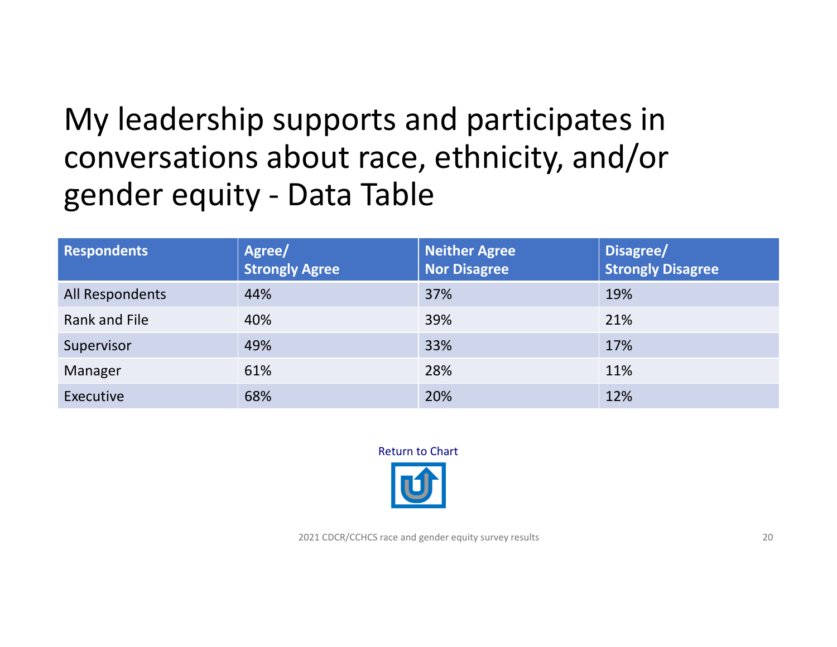#### <span id="page-19-0"></span>My leadership supports and participates in conversations about race, ethnicity, and/or gender equity ‐ Data Table

| <b>Respondents</b> | Agree/<br><b>Strongly Agree</b> | <b>Neither Agree</b><br><b>Nor Disagree</b> | Disagree/<br><b>Strongly Disagree</b> |
|--------------------|---------------------------------|---------------------------------------------|---------------------------------------|
| All Respondents    | 44%                             | 37%                                         | 19%                                   |
| Rank and File      | 40%                             | 39%                                         | 21%                                   |
| Supervisor         | 49%                             | 33%                                         | 17%                                   |
| Manager            | 61%                             | 28%                                         | 11%                                   |
| Executive          | 68%                             | 20%                                         | 12%                                   |

Return to Chart

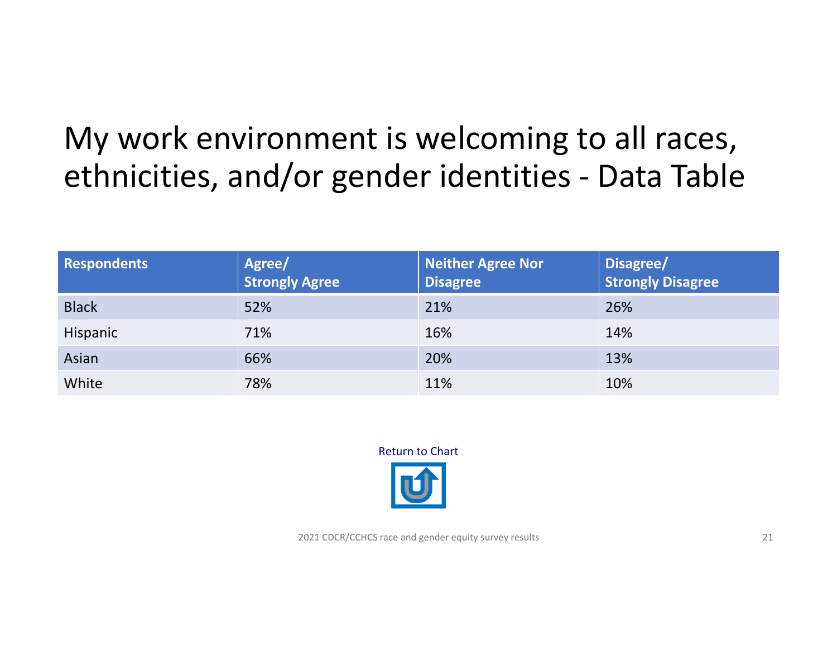#### <span id="page-20-0"></span>My work environment is welcoming to all races, ethnicities, and/or gender identities ‐ Data Table

| <b>Respondents</b> | Agree/<br><b>Strongly Agree</b> | <b>Neither Agree Nor</b><br><b>Disagree</b> | Disagree/<br><b>Strongly Disagree</b> |
|--------------------|---------------------------------|---------------------------------------------|---------------------------------------|
| <b>Black</b>       | 52%                             | 21%                                         | 26%                                   |
| Hispanic           | 71%                             | 16%                                         | 14%                                   |
| Asian              | 66%                             | 20%                                         | 13%                                   |
| White              | 78%                             | 11%                                         | 10%                                   |

Return to Chart

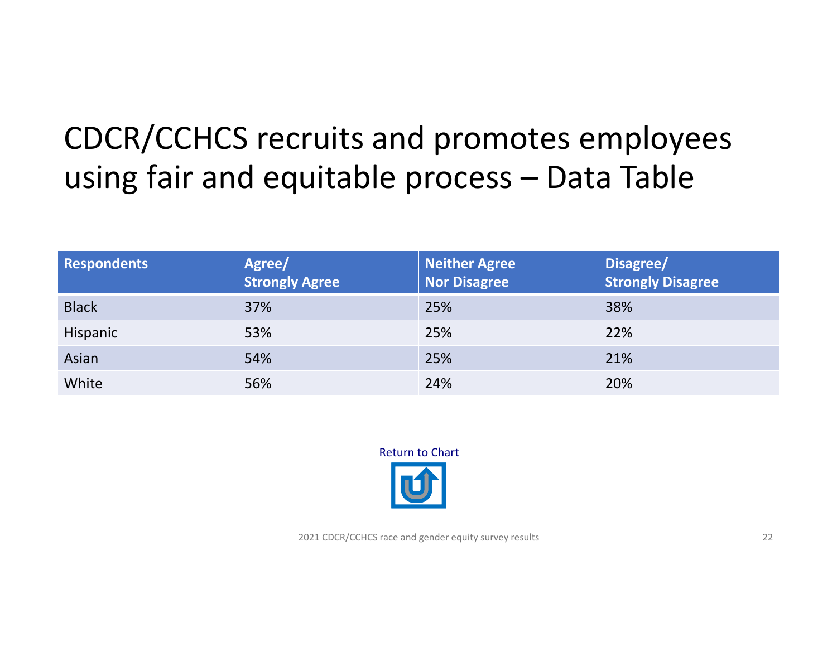### <span id="page-21-0"></span>CDCR/CCHCS recruits and promotes employees using fair and equitable process – Data Table

| <b>Respondents</b> | Agree/<br><b>Strongly Agree</b> | Neither Agree<br><b>Nor Disagree</b> | Disagree/<br><b>Strongly Disagree</b> |
|--------------------|---------------------------------|--------------------------------------|---------------------------------------|
| <b>Black</b>       | 37%                             | 25%                                  | 38%                                   |
| Hispanic           | 53%                             | 25%                                  | 22%                                   |
| Asian              | 54%                             | 25%                                  | 21%                                   |
| White              | 56%                             | 24%                                  | 20%                                   |



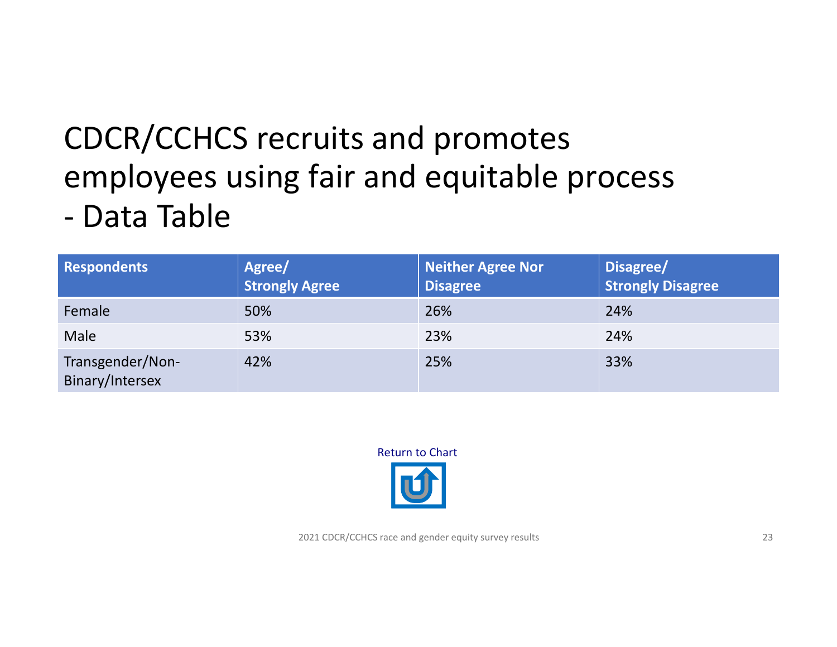### <span id="page-22-0"></span>CDCR/CCHCS recruits and promotes employees using fair and equitable process ‐ Data Table

| <b>Respondents</b>                  | Agree/<br><b>Strongly Agree</b> | <b>Neither Agree Nor</b><br><b>Disagree</b> | Disagree/<br><b>Strongly Disagree</b> |
|-------------------------------------|---------------------------------|---------------------------------------------|---------------------------------------|
| Female                              | 50%                             | 26%                                         | 24%                                   |
| Male                                | 53%                             | 23%                                         | 24%                                   |
| Transgender/Non-<br>Binary/Intersex | 42%                             | 25%                                         | 33%                                   |



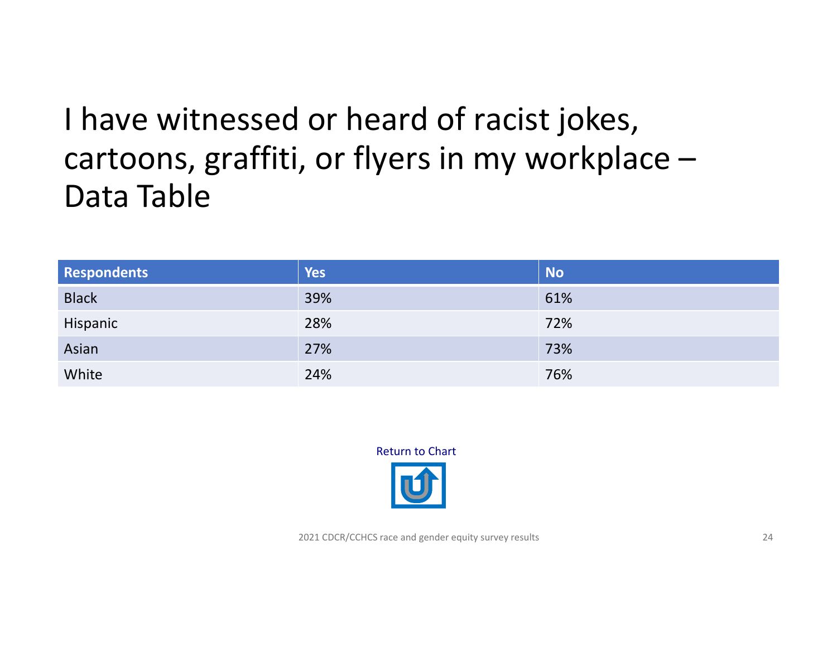#### <span id="page-23-0"></span>I have witnessed or heard of racist jokes, cartoons, graffiti, or flyers in my workplace – Data Table

| <b>Respondents</b> | <b>Yes</b> | <b>No</b> |
|--------------------|------------|-----------|
| <b>Black</b>       | 39%        | 61%       |
| Hispanic           | 28%        | 72%       |
| Asian              | 27%        | 73%       |
| White              | 24%        | 76%       |

Return to Chart

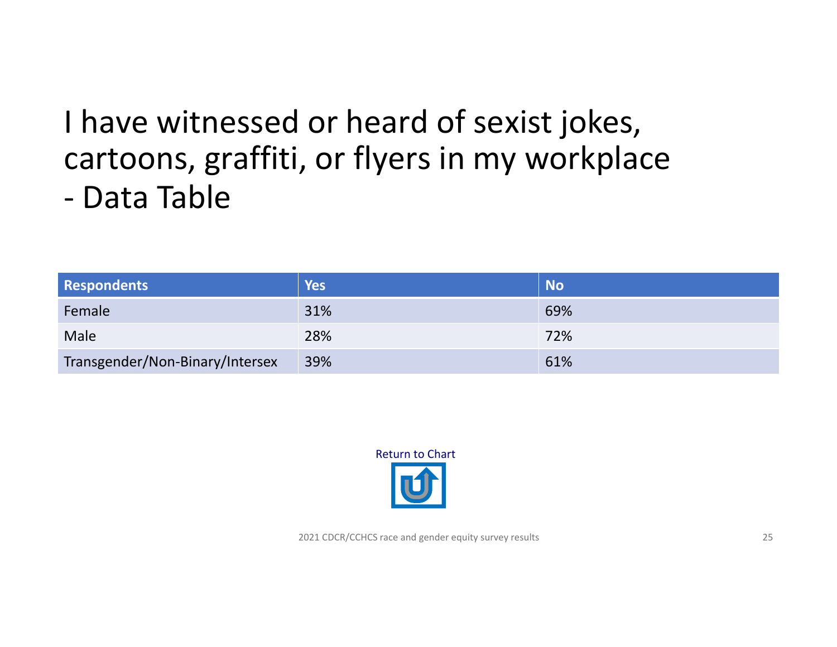# <span id="page-24-0"></span>I have witnessed or heard of sexist jokes, cartoons, graffiti, or flyers in my workplace

‐ Data Table

| <b>Respondents</b>              | Yes | <b>No</b> |
|---------------------------------|-----|-----------|
| Female                          | 31% | 69%       |
| Male                            | 28% | 72%       |
| Transgender/Non-Binary/Intersex | 39% | 61%       |

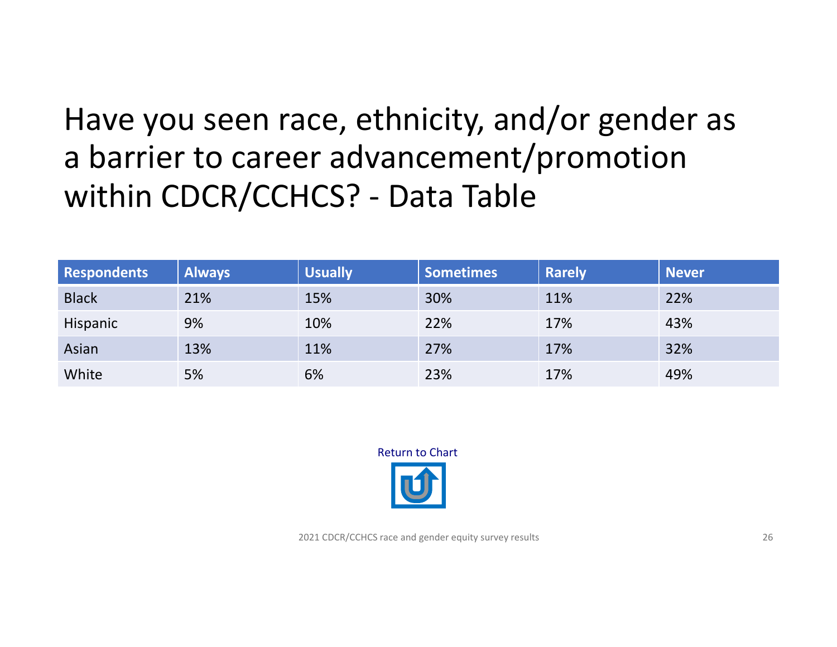#### <span id="page-25-0"></span>Have you seen race, ethnicity, and/or gender as a barrier to career advancement/promotion within CDCR/CCHCS? ‐ Data Table

| <b>Respondents</b> | <b>Always</b> | <b>Usually</b> | <b>Sometimes</b> | <b>Rarely</b> | <b>Never</b> |
|--------------------|---------------|----------------|------------------|---------------|--------------|
| <b>Black</b>       | 21%           | 15%            | 30%              | 11%           | 22%          |
| Hispanic           | 9%            | 10%            | 22%              | 17%           | 43%          |
| Asian              | 13%           | 11%            | 27%              | 17%           | 32%          |
| White              | 5%            | 6%             | 23%              | 17%           | 49%          |



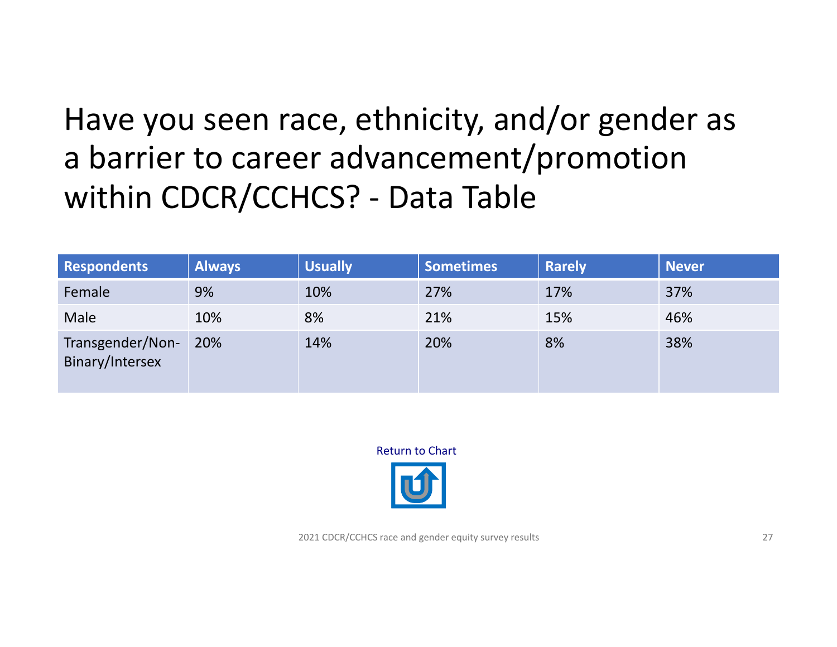### <span id="page-26-0"></span>Have you seen race, ethnicity, and/or gender as a barrier to career advancement/promotion within CDCR/CCHCS? ‐ Data Table

| <b>Respondents</b>                  | <b>Always</b> | <b>Usually</b> | <b>Sometimes</b> | <b>Rarely</b> | <b>Never</b> |
|-------------------------------------|---------------|----------------|------------------|---------------|--------------|
| Female                              | 9%            | 10%            | 27%              | 17%           | 37%          |
| Male                                | 10%           | 8%             | 21%              | 15%           | 46%          |
| Transgender/Non-<br>Binary/Intersex | 20%           | 14%            | 20%              | 8%            | 38%          |

Return to Chart

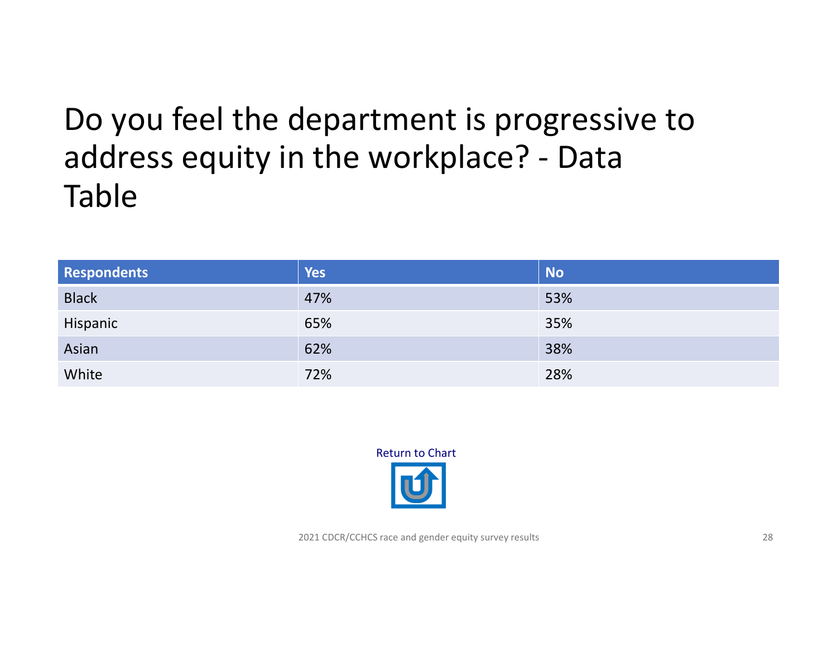#### <span id="page-27-0"></span>Do you feel the department is progressive to address equity in the workplace? ‐ Data Table

| <b>Respondents</b> | <b>Yes</b> | <b>No</b> |
|--------------------|------------|-----------|
| <b>Black</b>       | 47%        | 53%       |
| Hispanic           | 65%        | 35%       |
| Asian              | 62%        | 38%       |
| White              | 72%        | 28%       |

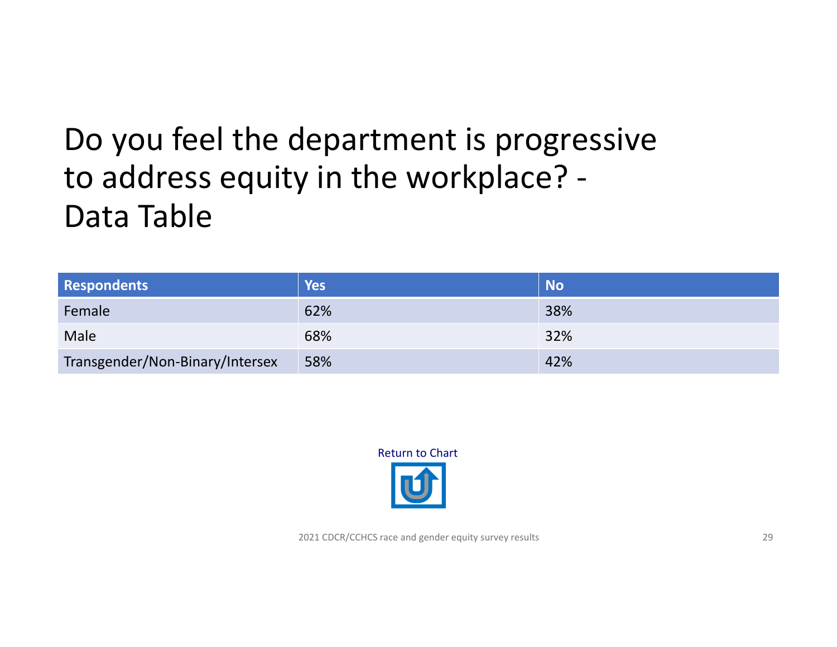#### <span id="page-28-0"></span>Do you feel the department is progressive to address equity in the workplace? ‐ Data Table

| <b>Respondents</b>              | Yes | <b>No</b> |
|---------------------------------|-----|-----------|
| Female                          | 62% | 38%       |
| Male                            | 68% | 32%       |
| Transgender/Non-Binary/Intersex | 58% | 42%       |

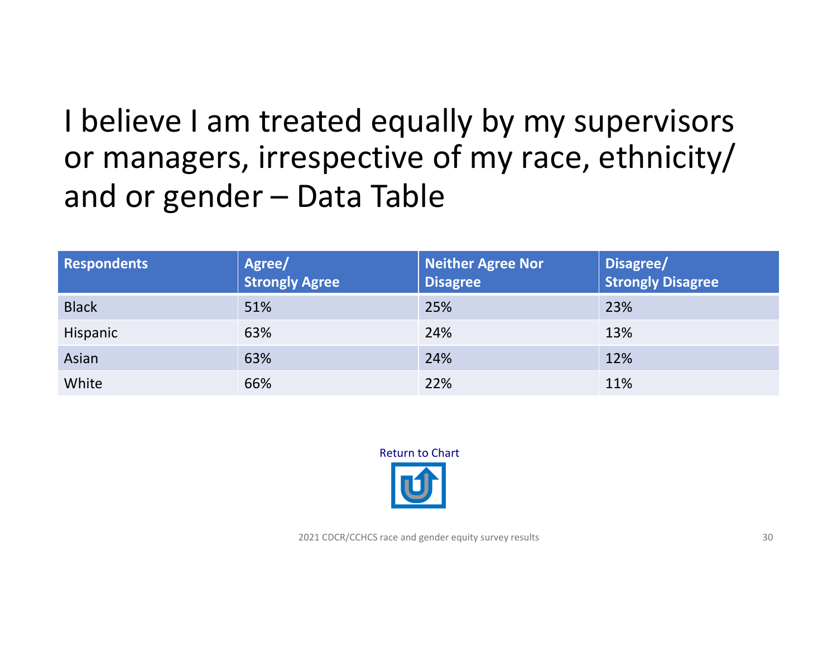#### <span id="page-29-0"></span>I believe I am treated equally by my supervisors or managers, irrespective of my race, ethnicity/ and or gender – Data Table

| <b>Respondents</b> | Agree/<br><b>Strongly Agree</b> | <b>Neither Agree Nor</b><br><b>Disagree</b> | Disagree/<br><b>Strongly Disagree</b> |
|--------------------|---------------------------------|---------------------------------------------|---------------------------------------|
| <b>Black</b>       | 51%                             | 25%                                         | 23%                                   |
| Hispanic           | 63%                             | 24%                                         | 13%                                   |
| Asian              | 63%                             | 24%                                         | 12%                                   |
| White              | 66%                             | 22%                                         | 11%                                   |